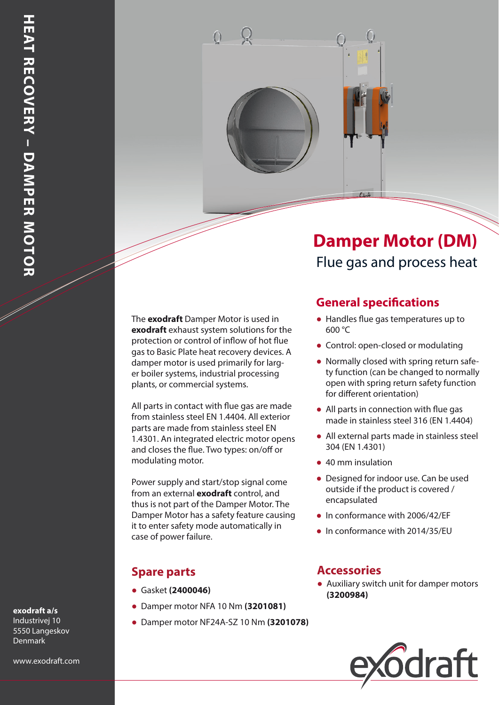The **exodraft** Damper Motor is used in **exodraft** exhaust system solutions for the protection or control of inflow of hot flue gas to Basic Plate heat recovery devices. A damper motor is used primarily for larger boiler systems, industrial processing plants, or commercial systems.

All parts in contact with flue gas are made from stainless steel EN 1.4404. All exterior parts are made from stainless steel EN 1.4301. An integrated electric motor opens and closes the flue. Two types: on/off or modulating motor.

Power supply and start/stop signal come from an external **exodraft** control, and thus is not part of the Damper Motor. The Damper Motor has a safety feature causing it to enter safety mode automatically in case of power failure.

- Gasket **(2400046)**
- Damper motor NFA 10 Nm **(3201081)**
- Damper motor NF24A-SZ 10 Nm **(3201078)**

## **Damper Motor (DM)** Flue gas and process heat

### **General specifications**

- Handles flue gas temperatures up to 600 °C
- Control: open-closed or modulating
- Normally closed with spring return safety function (can be changed to normally open with spring return safety function for different orientation)
- All parts in connection with flue gas made in stainless steel 316 (EN 1.4404)
- All external parts made in stainless steel 304 (EN 1.4301)
- 40 mm insulation
- Designed for indoor use. Can be used outside if the product is covered / encapsulated
- In conformance with 2006/42/EF
- In conformance with 2014/35/EU

#### **Spare parts Accessories**

● Auxiliary switch unit for damper motors **(3200984)**



#### **exodraft a/s**

Industrivej 1 0 5550 Langeskov Denmark

www.exodraft.com